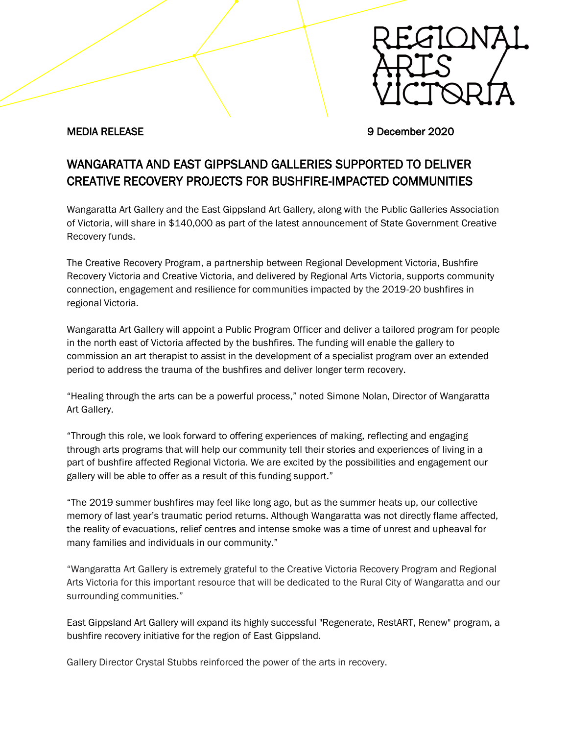

MEDIA RELEASE 9 December 2020

## WANGARATTA AND EAST GIPPSLAND GALLERIES SUPPORTED TO DELIVER CREATIVE RECOVERY PROJECTS FOR BUSHFIRE-IMPACTED COMMUNITIES

Wangaratta Art Gallery and the East Gippsland Art Gallery, along with the Public Galleries Association of Victoria, will share in \$140,000 as part of the latest announcement of State Government Creative Recovery funds.

The Creative Recovery Program, a partnership between Regional Development Victoria, Bushfire Recovery Victoria and Creative Victoria, and delivered by Regional Arts Victoria, supports community connection, engagement and resilience for communities impacted by the 2019-20 bushfires in regional Victoria.

Wangaratta Art Gallery will appoint a Public Program Officer and deliver a tailored program for people in the north east of Victoria affected by the bushfires. The funding will enable the gallery to commission an art therapist to assist in the development of a specialist program over an extended period to address the trauma of the bushfires and deliver longer term recovery.

"Healing through the arts can be a powerful process," noted Simone Nolan, Director of Wangaratta Art Gallery.

"Through this role, we look forward to offering experiences of making, reflecting and engaging through arts programs that will help our community tell their stories and experiences of living in a part of bushfire affected Regional Victoria. We are excited by the possibilities and engagement our gallery will be able to offer as a result of this funding support."

"The 2019 summer bushfires may feel like long ago, but as the summer heats up, our collective memory of last year's traumatic period returns. Although Wangaratta was not directly flame affected, the reality of evacuations, relief centres and intense smoke was a time of unrest and upheaval for many families and individuals in our community."

"Wangaratta Art Gallery is extremely grateful to the Creative Victoria Recovery Program and Regional Arts Victoria for this important resource that will be dedicated to the Rural City of Wangaratta and our surrounding communities."

East Gippsland Art Gallery will expand its highly successful "Regenerate, RestART, Renew" program, a bushfire recovery initiative for the region of East Gippsland.

Gallery Director Crystal Stubbs reinforced the power of the arts in recovery.